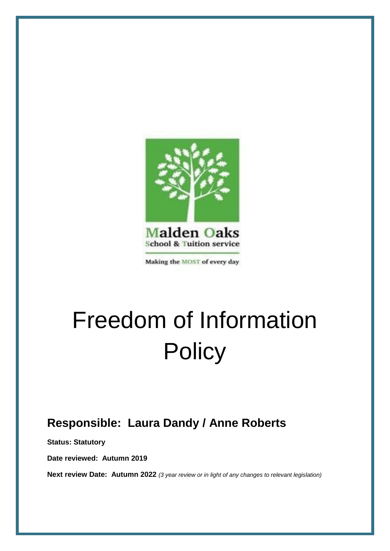

Making the MOST of every day

# Freedom of Information **Policy**

# **Responsible: Laura Dandy / Anne Roberts**

**Status: Statutory**

**Date reviewed: Autumn 2019**

**Next review Date: Autumn 2022** *(3 year review or in light of any changes to relevant legislation)*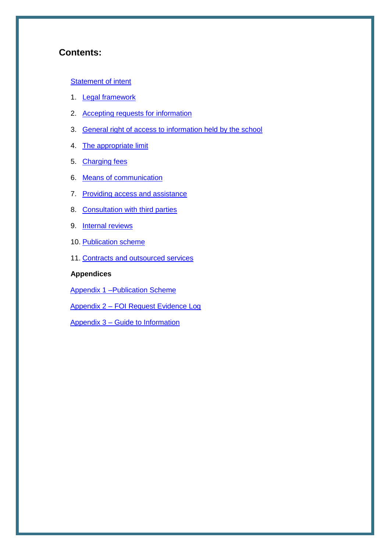#### **Contents:**

#### **[Statement of intent](#page-1-0)**

- 1. [Legal framework](#page-2-0)
- 2. [Accepting requests for information](#page-2-1)
- 3. [General right of access to information held by the school](#page-3-0)
- 4. [The appropriate limit](#page-4-0)
- 5. [Charging fees](#page-5-0)
- 6. [Means of communication](#page-6-0)
- 7. [Providing access and assistance](#page-6-1)
- 8. [Consultation with third parties](#page-9-0)
- 9. [Internal reviews](#page-9-1)
- 10. [Publication scheme](#page-10-0)
- 11. [Contracts and outsourced services](#page-11-0)

#### **Appendices**

[Appendix 1 –Publication Scheme](#page-12-0)

Appendix 2 – [FOI Request Evidence Log](#page-15-0)

<span id="page-1-0"></span>Appendix 3 – [Guide to Information](#page-16-0)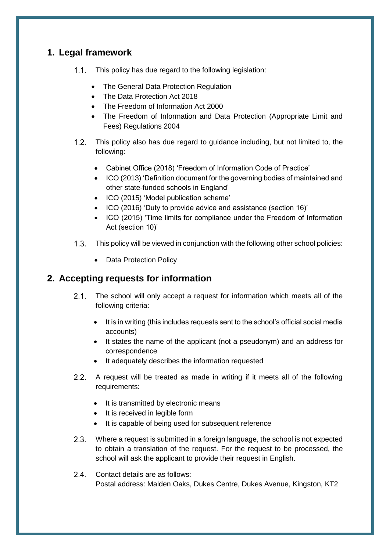## <span id="page-2-0"></span>**1. Legal framework**

- 1.1. This policy has due regard to the following legislation:
	- The General Data Protection Regulation
	- The Data Protection Act 2018
	- The Freedom of Information Act 2000
	- The Freedom of Information and Data Protection (Appropriate Limit and Fees) Regulations 2004
- This policy also has due regard to guidance including, but not limited to, the following:
	- Cabinet Office (2018) 'Freedom of Information Code of Practice'
	- ICO (2013) 'Definition document for the governing bodies of maintained and other state-funded schools in England'
	- ICO (2015) 'Model publication scheme'
	- ICO (2016) 'Duty to provide advice and assistance (section 16)'
	- ICO (2015) 'Time limits for compliance under the Freedom of Information Act (section 10)'
- This policy will be viewed in conjunction with the following other school policies:
	- Data Protection Policy

# <span id="page-2-1"></span>**2. Accepting requests for information**

- $2.1.$ The school will only accept a request for information which meets all of the following criteria:
	- It is in writing (this includes requests sent to the school's official social media accounts)
	- It states the name of the applicant (not a pseudonym) and an address for correspondence
	- It adequately describes the information requested
- A request will be treated as made in writing if it meets all of the following requirements:
	- It is transmitted by electronic means
	- It is received in legible form
	- It is capable of being used for subsequent reference
- Where a request is submitted in a foreign language, the school is not expected to obtain a translation of the request. For the request to be processed, the school will ask the applicant to provide their request in English.
- $2.4.$ Contact details are as follows: Postal address: Malden Oaks, Dukes Centre, Dukes Avenue, Kingston, KT2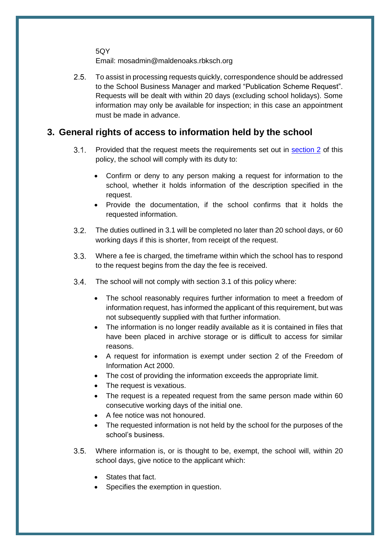5QY

Email: mosadmin@maldenoaks.rbksch.org

 $2.5.$ To assist in processing requests quickly, correspondence should be addressed to the School Business Manager and marked "Publication Scheme Request". Requests will be dealt with within 20 days (excluding school holidays). Some information may only be available for inspection; in this case an appointment must be made in advance.

## <span id="page-3-0"></span>**3. General rights of access to information held by the school**

- $3.1.$ Provided that the request meets the requirements set out in [section 2](#page-2-1) of this policy, the school will comply with its duty to:
	- Confirm or deny to any person making a request for information to the school, whether it holds information of the description specified in the request.
	- Provide the documentation, if the school confirms that it holds the requested information.
- $3.2.$ The duties outlined in 3.1 will be completed no later than 20 school days, or 60 working days if this is shorter, from receipt of the request.
- $3.3.$ Where a fee is charged, the timeframe within which the school has to respond to the request begins from the day the fee is received.
- $3.4.$ The school will not comply with section 3.1 of this policy where:
	- The school reasonably requires further information to meet a freedom of information request, has informed the applicant of this requirement, but was not subsequently supplied with that further information.
	- The information is no longer readily available as it is contained in files that have been placed in archive storage or is difficult to access for similar reasons.
	- A request for information is exempt under section 2 of the Freedom of Information Act 2000.
	- The cost of providing the information exceeds the appropriate limit.
	- The request is vexatious.
	- The request is a repeated request from the same person made within 60 consecutive working days of the initial one.
	- A fee notice was not honoured.
	- The requested information is not held by the school for the purposes of the school's business.
- $3.5.$ Where information is, or is thought to be, exempt, the school will, within 20 school days, give notice to the applicant which:
	- States that fact.
	- Specifies the exemption in question.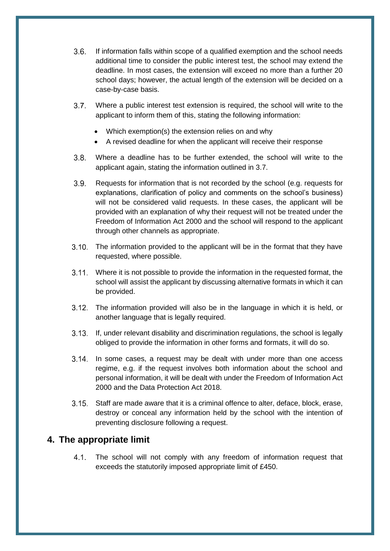- $3.6.$ If information falls within scope of a qualified exemption and the school needs additional time to consider the public interest test, the school may extend the deadline. In most cases, the extension will exceed no more than a further 20 school days; however, the actual length of the extension will be decided on a case-by-case basis.
- $3.7.$ Where a public interest test extension is required, the school will write to the applicant to inform them of this, stating the following information:
	- Which exemption(s) the extension relies on and why
	- A revised deadline for when the applicant will receive their response
- $3.8.$ Where a deadline has to be further extended, the school will write to the applicant again, stating the information outlined in 3.7.
- $3.9.$ Requests for information that is not recorded by the school (e.g. requests for explanations, clarification of policy and comments on the school's business) will not be considered valid requests. In these cases, the applicant will be provided with an explanation of why their request will not be treated under the Freedom of Information Act 2000 and the school will respond to the applicant through other channels as appropriate.
- 3.10. The information provided to the applicant will be in the format that they have requested, where possible.
- Where it is not possible to provide the information in the requested format, the school will assist the applicant by discussing alternative formats in which it can be provided.
- 3.12. The information provided will also be in the language in which it is held, or another language that is legally required.
- If, under relevant disability and discrimination regulations, the school is legally obliged to provide the information in other forms and formats, it will do so.
- 3.14. In some cases, a request may be dealt with under more than one access regime, e.g. if the request involves both information about the school and personal information, it will be dealt with under the Freedom of Information Act 2000 and the Data Protection Act 2018.
- Staff are made aware that it is a criminal offence to alter, deface, block, erase, destroy or conceal any information held by the school with the intention of preventing disclosure following a request.

#### <span id="page-4-0"></span>**4. The appropriate limit**

 $4.1$ The school will not comply with any freedom of information request that exceeds the statutorily imposed appropriate limit of £450.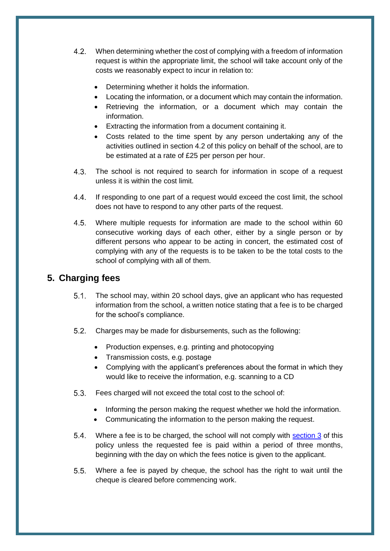- $4.2.$ When determining whether the cost of complying with a freedom of information request is within the appropriate limit, the school will take account only of the costs we reasonably expect to incur in relation to:
	- Determining whether it holds the information.
	- Locating the information, or a document which may contain the information.
	- Retrieving the information, or a document which may contain the information.
	- Extracting the information from a document containing it.
	- Costs related to the time spent by any person undertaking any of the activities outlined in section 4.2 of this policy on behalf of the school, are to be estimated at a rate of £25 per person per hour.
- $4.3.$ The school is not required to search for information in scope of a request unless it is within the cost limit.
- $4.4.$ If responding to one part of a request would exceed the cost limit, the school does not have to respond to any other parts of the request.
- $4.5.$ Where multiple requests for information are made to the school within 60 consecutive working days of each other, either by a single person or by different persons who appear to be acting in concert, the estimated cost of complying with any of the requests is to be taken to be the total costs to the school of complying with all of them.

# <span id="page-5-0"></span>**5. Charging fees**

- $5.1.$ The school may, within 20 school days, give an applicant who has requested information from the school, a written notice stating that a fee is to be charged for the school's compliance.
- Charges may be made for disbursements, such as the following:
	- Production expenses, e.g. printing and photocopying
	- Transmission costs, e.g. postage
	- Complying with the applicant's preferences about the format in which they would like to receive the information, e.g. scanning to a CD
- Fees charged will not exceed the total cost to the school of:
	- Informing the person making the request whether we hold the information.
	- Communicating the information to the person making the request.
- 5.4. Where a fee is to be charged, the school will not comply with [section 3](#page-3-0) of this policy unless the requested fee is paid within a period of three months, beginning with the day on which the fees notice is given to the applicant.
- $5.5.$ Where a fee is payed by cheque, the school has the right to wait until the cheque is cleared before commencing work.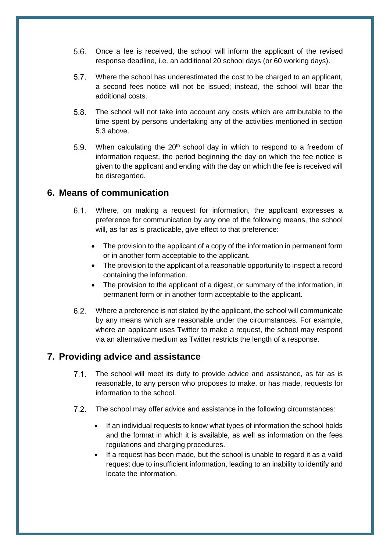- $5.6.$ Once a fee is received, the school will inform the applicant of the revised response deadline, i.e. an additional 20 school days (or 60 working days).
- $5.7$ Where the school has underestimated the cost to be charged to an applicant, a second fees notice will not be issued; instead, the school will bear the additional costs.
- The school will not take into account any costs which are attributable to the  $5.8$ time spent by persons undertaking any of the activities mentioned in section 5.3 above.
- $5.9.$ When calculating the  $20<sup>th</sup>$  school day in which to respond to a freedom of information request, the period beginning the day on which the fee notice is given to the applicant and ending with the day on which the fee is received will be disregarded.

### <span id="page-6-0"></span>**6. Means of communication**

- $6.1.$ Where, on making a request for information, the applicant expresses a preference for communication by any one of the following means, the school will, as far as is practicable, give effect to that preference:
	- The provision to the applicant of a copy of the information in permanent form or in another form acceptable to the applicant.
	- The provision to the applicant of a reasonable opportunity to inspect a record containing the information.
	- The provision to the applicant of a digest, or summary of the information, in permanent form or in another form acceptable to the applicant.
- Where a preference is not stated by the applicant, the school will communicate by any means which are reasonable under the circumstances. For example, where an applicant uses Twitter to make a request, the school may respond via an alternative medium as Twitter restricts the length of a response.

#### <span id="page-6-1"></span>**7. Providing advice and assistance**

- $7.1.$ The school will meet its duty to provide advice and assistance, as far as is reasonable, to any person who proposes to make, or has made, requests for information to the school.
- 7.2. The school may offer advice and assistance in the following circumstances:
	- If an individual requests to know what types of information the school holds and the format in which it is available, as well as information on the fees regulations and charging procedures.
	- If a request has been made, but the school is unable to regard it as a valid request due to insufficient information, leading to an inability to identify and locate the information.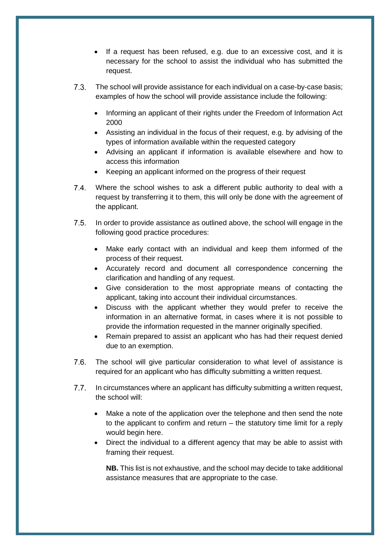- If a request has been refused, e.g. due to an excessive cost, and it is necessary for the school to assist the individual who has submitted the request.
- The school will provide assistance for each individual on a case-by-case basis; examples of how the school will provide assistance include the following:
	- Informing an applicant of their rights under the Freedom of Information Act 2000
	- Assisting an individual in the focus of their request, e.g. by advising of the types of information available within the requested category
	- Advising an applicant if information is available elsewhere and how to access this information
	- Keeping an applicant informed on the progress of their request
- Where the school wishes to ask a different public authority to deal with a request by transferring it to them, this will only be done with the agreement of the applicant.
- $7.5.$ In order to provide assistance as outlined above, the school will engage in the following good practice procedures:
	- Make early contact with an individual and keep them informed of the process of their request.
	- Accurately record and document all correspondence concerning the clarification and handling of any request.
	- Give consideration to the most appropriate means of contacting the applicant, taking into account their individual circumstances.
	- Discuss with the applicant whether they would prefer to receive the information in an alternative format, in cases where it is not possible to provide the information requested in the manner originally specified.
	- Remain prepared to assist an applicant who has had their request denied due to an exemption.
- $7.6.$ The school will give particular consideration to what level of assistance is required for an applicant who has difficulty submitting a written request.
- $7.7.$ In circumstances where an applicant has difficulty submitting a written request, the school will:
	- Make a note of the application over the telephone and then send the note to the applicant to confirm and return – the statutory time limit for a reply would begin here.
	- Direct the individual to a different agency that may be able to assist with framing their request.

**NB.** This list is not exhaustive, and the school may decide to take additional assistance measures that are appropriate to the case.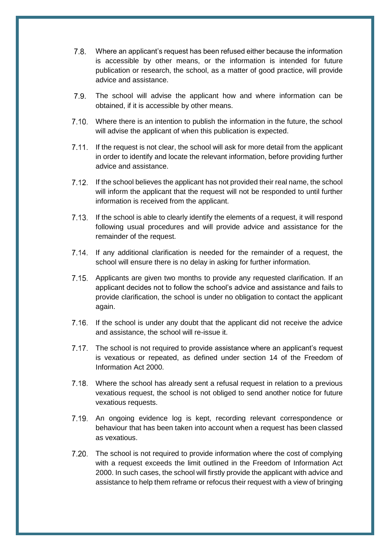- $7.8.$ Where an applicant's request has been refused either because the information is accessible by other means, or the information is intended for future publication or research, the school, as a matter of good practice, will provide advice and assistance.
- The school will advise the applicant how and where information can be  $7.9.$ obtained, if it is accessible by other means.
- Where there is an intention to publish the information in the future, the school will advise the applicant of when this publication is expected.
- If the request is not clear, the school will ask for more detail from the applicant in order to identify and locate the relevant information, before providing further advice and assistance.
- 7.12. If the school believes the applicant has not provided their real name, the school will inform the applicant that the request will not be responded to until further information is received from the applicant.
- 7.13. If the school is able to clearly identify the elements of a request, it will respond following usual procedures and will provide advice and assistance for the remainder of the request.
- 7.14. If any additional clarification is needed for the remainder of a request, the school will ensure there is no delay in asking for further information.
- 7.15. Applicants are given two months to provide any requested clarification. If an applicant decides not to follow the school's advice and assistance and fails to provide clarification, the school is under no obligation to contact the applicant again.
- 7.16. If the school is under any doubt that the applicant did not receive the advice and assistance, the school will re-issue it.
- The school is not required to provide assistance where an applicant's request is vexatious or repeated, as defined under section 14 of the Freedom of Information Act 2000.
- Where the school has already sent a refusal request in relation to a previous vexatious request, the school is not obliged to send another notice for future vexatious requests.
- 7.19. An ongoing evidence log is kept, recording relevant correspondence or behaviour that has been taken into account when a request has been classed as vexatious.
- The school is not required to provide information where the cost of complying with a request exceeds the limit outlined in the Freedom of Information Act 2000. In such cases, the school will firstly provide the applicant with advice and assistance to help them reframe or refocus their request with a view of bringing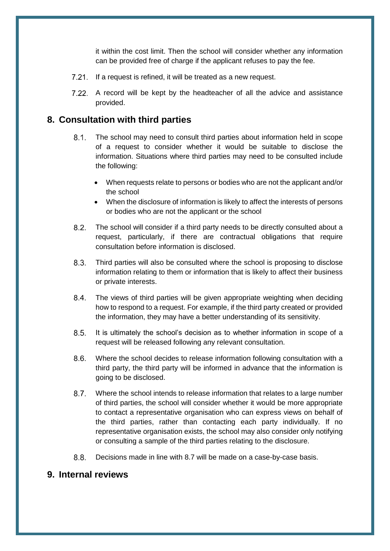it within the cost limit. Then the school will consider whether any information can be provided free of charge if the applicant refuses to pay the fee.

- 7.21. If a request is refined, it will be treated as a new request.
- 7.22. A record will be kept by the headteacher of all the advice and assistance provided.

#### <span id="page-9-0"></span>**8. Consultation with third parties**

- $8.1.$ The school may need to consult third parties about information held in scope of a request to consider whether it would be suitable to disclose the information. Situations where third parties may need to be consulted include the following:
	- When requests relate to persons or bodies who are not the applicant and/or the school
	- When the disclosure of information is likely to affect the interests of persons or bodies who are not the applicant or the school
- $8.2.$ The school will consider if a third party needs to be directly consulted about a request, particularly, if there are contractual obligations that require consultation before information is disclosed.
- $8.3.$ Third parties will also be consulted where the school is proposing to disclose information relating to them or information that is likely to affect their business or private interests.
- $8.4.$ The views of third parties will be given appropriate weighting when deciding how to respond to a request. For example, if the third party created or provided the information, they may have a better understanding of its sensitivity.
- $8.5.$ It is ultimately the school's decision as to whether information in scope of a request will be released following any relevant consultation.
- $8.6.$ Where the school decides to release information following consultation with a third party, the third party will be informed in advance that the information is going to be disclosed.
- $8.7.$ Where the school intends to release information that relates to a large number of third parties, the school will consider whether it would be more appropriate to contact a representative organisation who can express views on behalf of the third parties, rather than contacting each party individually. If no representative organisation exists, the school may also consider only notifying or consulting a sample of the third parties relating to the disclosure.
- $8.8.$ Decisions made in line with 8.7 will be made on a case-by-case basis.

## <span id="page-9-1"></span>**9. Internal reviews**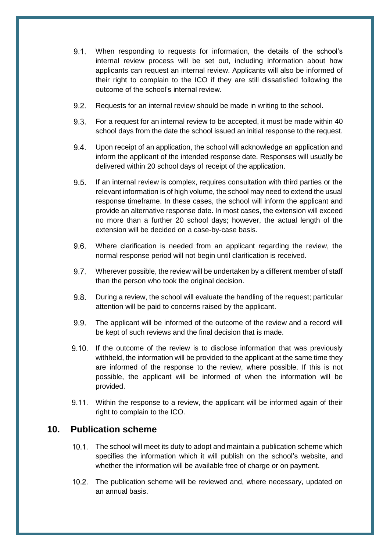- $9.1.$ When responding to requests for information, the details of the school's internal review process will be set out, including information about how applicants can request an internal review. Applicants will also be informed of their right to complain to the ICO if they are still dissatisfied following the outcome of the school's internal review.
- $9.2.$ Requests for an internal review should be made in writing to the school.
- 9.3 For a request for an internal review to be accepted, it must be made within 40 school days from the date the school issued an initial response to the request.
- $9.4.$ Upon receipt of an application, the school will acknowledge an application and inform the applicant of the intended response date. Responses will usually be delivered within 20 school days of receipt of the application.
- $9.5.$ If an internal review is complex, requires consultation with third parties or the relevant information is of high volume, the school may need to extend the usual response timeframe. In these cases, the school will inform the applicant and provide an alternative response date. In most cases, the extension will exceed no more than a further 20 school days; however, the actual length of the extension will be decided on a case-by-case basis.
- $9.6.$ Where clarification is needed from an applicant regarding the review, the normal response period will not begin until clarification is received.
- 9.7. Wherever possible, the review will be undertaken by a different member of staff than the person who took the original decision.
- $9.8.$ During a review, the school will evaluate the handling of the request; particular attention will be paid to concerns raised by the applicant.
- $9.9.$ The applicant will be informed of the outcome of the review and a record will be kept of such reviews and the final decision that is made.
- $9.10.$ If the outcome of the review is to disclose information that was previously withheld, the information will be provided to the applicant at the same time they are informed of the response to the review, where possible. If this is not possible, the applicant will be informed of when the information will be provided.
- Within the response to a review, the applicant will be informed again of their right to complain to the ICO.

#### <span id="page-10-0"></span>**10. Publication scheme**

- The school will meet its duty to adopt and maintain a publication scheme which specifies the information which it will publish on the school's website, and whether the information will be available free of charge or on payment.
- 10.2. The publication scheme will be reviewed and, where necessary, updated on an annual basis.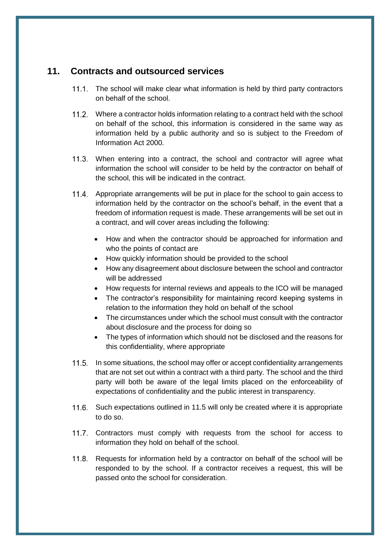#### <span id="page-11-0"></span>**11. Contracts and outsourced services**

- 11.1. The school will make clear what information is held by third party contractors on behalf of the school.
- Where a contractor holds information relating to a contract held with the school on behalf of the school, this information is considered in the same way as information held by a public authority and so is subject to the Freedom of Information Act 2000.
- When entering into a contract, the school and contractor will agree what information the school will consider to be held by the contractor on behalf of the school, this will be indicated in the contract.
- 11.4. Appropriate arrangements will be put in place for the school to gain access to information held by the contractor on the school's behalf, in the event that a freedom of information request is made. These arrangements will be set out in a contract, and will cover areas including the following:
	- How and when the contractor should be approached for information and who the points of contact are
	- How quickly information should be provided to the school
	- How any disagreement about disclosure between the school and contractor will be addressed
	- How requests for internal reviews and appeals to the ICO will be managed
	- The contractor's responsibility for maintaining record keeping systems in relation to the information they hold on behalf of the school
	- The circumstances under which the school must consult with the contractor about disclosure and the process for doing so
	- The types of information which should not be disclosed and the reasons for this confidentiality, where appropriate
- 11.5. In some situations, the school may offer or accept confidentiality arrangements that are not set out within a contract with a third party. The school and the third party will both be aware of the legal limits placed on the enforceability of expectations of confidentiality and the public interest in transparency.
- 11.6. Such expectations outlined in 11.5 will only be created where it is appropriate to do so.
- 11.7. Contractors must comply with requests from the school for access to information they hold on behalf of the school.
- 11.8. Requests for information held by a contractor on behalf of the school will be responded to by the school. If a contractor receives a request, this will be passed onto the school for consideration.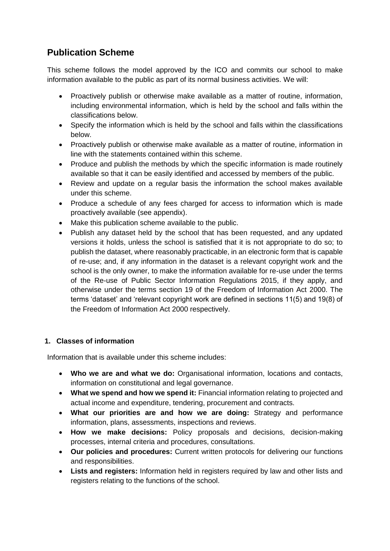# <span id="page-12-0"></span>**Publication Scheme**

This scheme follows the model approved by the ICO and commits our school to make information available to the public as part of its normal business activities. We will:

- Proactively publish or otherwise make available as a matter of routine, information, including environmental information, which is held by the school and falls within the classifications below.
- Specify the information which is held by the school and falls within the classifications below.
- Proactively publish or otherwise make available as a matter of routine, information in line with the statements contained within this scheme.
- Produce and publish the methods by which the specific information is made routinely available so that it can be easily identified and accessed by members of the public.
- Review and update on a regular basis the information the school makes available under this scheme.
- Produce a schedule of any fees charged for access to information which is made proactively available (see appendix).
- Make this publication scheme available to the public.
- Publish any dataset held by the school that has been requested, and any updated versions it holds, unless the school is satisfied that it is not appropriate to do so; to publish the dataset, where reasonably practicable, in an electronic form that is capable of re-use; and, if any information in the dataset is a relevant copyright work and the school is the only owner, to make the information available for re-use under the terms of the Re-use of Public Sector Information Regulations 2015, if they apply, and otherwise under the terms section 19 of the Freedom of Information Act 2000. The terms 'dataset' and 'relevant copyright work are defined in sections 11(5) and 19(8) of the Freedom of Information Act 2000 respectively.

#### **1. Classes of information**

Information that is available under this scheme includes:

- **Who we are and what we do:** Organisational information, locations and contacts, information on constitutional and legal governance.
- **What we spend and how we spend it:** Financial information relating to projected and actual income and expenditure, tendering, procurement and contracts.
- **What our priorities are and how we are doing:** Strategy and performance information, plans, assessments, inspections and reviews.
- **How we make decisions:** Policy proposals and decisions, decision-making processes, internal criteria and procedures, consultations.
- **Our policies and procedures:** Current written protocols for delivering our functions and responsibilities.
- **Lists and registers:** Information held in registers required by law and other lists and registers relating to the functions of the school.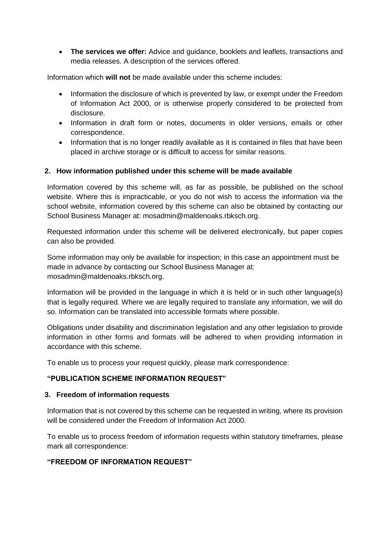**The services we offer:** Advice and guidance, booklets and leaflets, transactions and media releases. A description of the services offered.

Information which **will not** be made available under this scheme includes:

- Information the disclosure of which is prevented by law, or exempt under the Freedom of Information Act 2000, or is otherwise properly considered to be protected from disclosure.
- Information in draft form or notes, documents in older versions, emails or other correspondence.
- Information that is no longer readily available as it is contained in files that have been placed in archive storage or is difficult to access for similar reasons.

#### **2. How information published under this scheme will be made available**

Information covered by this scheme will, as far as possible, be published on the school website. Where this is impracticable, or you do not wish to access the information via the school website, information covered by this scheme can also be obtained by contacting our School Business Manager at: mosadmin@maldenoaks.rbksch.org.

Requested information under this scheme will be delivered electronically, but paper copies can also be provided.

Some information may only be available for inspection; in this case an appointment must be made in advance by contacting our School Business Manager at: mosadmin@maldenoaks.rbksch.org.

Information will be provided in the language in which it is held or in such other language(s) that is legally required. Where we are legally required to translate any information, we will do so. Information can be translated into accessible formats where possible.

Obligations under disability and discrimination legislation and any other legislation to provide information in other forms and formats will be adhered to when providing information in accordance with this scheme.

To enable us to process your request quickly, please mark correspondence:

#### **"PUBLICATION SCHEME INFORMATION REQUEST"**

#### **3. Freedom of information requests**

Information that is not covered by this scheme can be requested in writing, where its provision will be considered under the Freedom of Information Act 2000.

To enable us to process freedom of information requests within statutory timeframes, please mark all correspondence:

#### **"FREEDOM OF INFORMATION REQUEST"**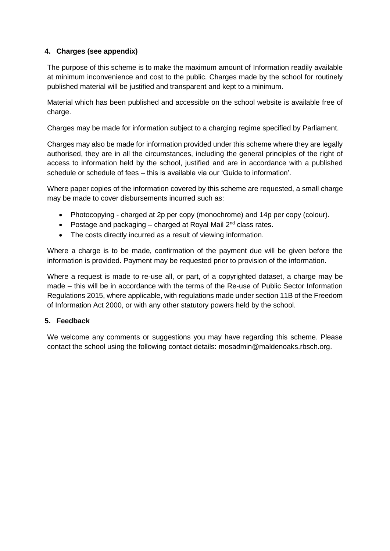#### **4. Charges (see appendix)**

The purpose of this scheme is to make the maximum amount of Information readily available at minimum inconvenience and cost to the public. Charges made by the school for routinely published material will be justified and transparent and kept to a minimum.

Material which has been published and accessible on the school website is available free of charge.

Charges may be made for information subject to a charging regime specified by Parliament.

Charges may also be made for information provided under this scheme where they are legally authorised, they are in all the circumstances, including the general principles of the right of access to information held by the school, justified and are in accordance with a published schedule or schedule of fees – this is available via our 'Guide to information'.

Where paper copies of the information covered by this scheme are requested, a small charge may be made to cover disbursements incurred such as:

- Photocopying charged at 2p per copy (monochrome) and 14p per copy (colour).
- Postage and packaging  $-$  charged at Royal Mail  $2<sup>nd</sup>$  class rates.
- The costs directly incurred as a result of viewing information.

Where a charge is to be made, confirmation of the payment due will be given before the information is provided. Payment may be requested prior to provision of the information.

Where a request is made to re-use all, or part, of a copyrighted dataset, a charge may be made – this will be in accordance with the terms of the Re-use of Public Sector Information Regulations 2015, where applicable, with regulations made under section 11B of the Freedom of Information Act 2000, or with any other statutory powers held by the school.

#### **5. Feedback**

We welcome any comments or suggestions you may have regarding this scheme. Please contact the school using the following contact details: mosadmin@maldenoaks.rbsch.org.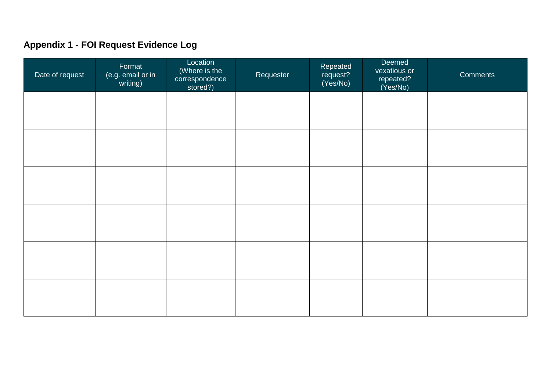# **Appendix 1 - FOI Request Evidence Log**

<span id="page-15-0"></span>

| Date of request | Format<br>(e.g. email or in writing) | Location<br>(Where is the<br>correspondence<br>stored?) | Requester | Repeated<br>request?<br>(Yes/No) | Deemed<br>vexatious or<br>repeated?<br>(Yes/No) | Comments |
|-----------------|--------------------------------------|---------------------------------------------------------|-----------|----------------------------------|-------------------------------------------------|----------|
|                 |                                      |                                                         |           |                                  |                                                 |          |
|                 |                                      |                                                         |           |                                  |                                                 |          |
|                 |                                      |                                                         |           |                                  |                                                 |          |
|                 |                                      |                                                         |           |                                  |                                                 |          |
|                 |                                      |                                                         |           |                                  |                                                 |          |
|                 |                                      |                                                         |           |                                  |                                                 |          |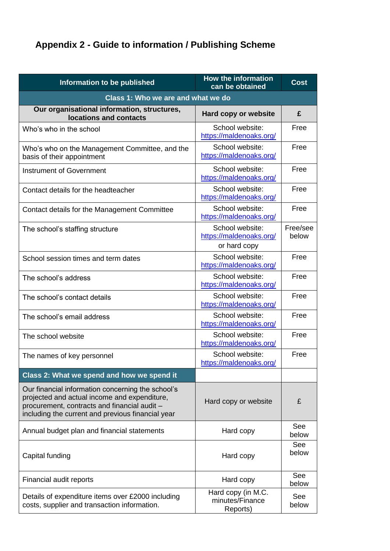# <span id="page-16-0"></span>**Appendix 2 - Guide to information / Publishing Scheme**

| Information to be published                                                                                                                                                                            | <b>How the information</b><br>can be obtained              | <b>Cost</b>       |
|--------------------------------------------------------------------------------------------------------------------------------------------------------------------------------------------------------|------------------------------------------------------------|-------------------|
| Class 1: Who we are and what we do                                                                                                                                                                     |                                                            |                   |
| Our organisational information, structures,<br>locations and contacts                                                                                                                                  | Hard copy or website                                       | £                 |
| Who's who in the school                                                                                                                                                                                | School website:<br>https://maldenoaks.org/                 | Free              |
| Who's who on the Management Committee, and the<br>basis of their appointment                                                                                                                           | School website:<br>https://maldenoaks.org/                 | Free              |
| <b>Instrument of Government</b>                                                                                                                                                                        | School website:<br>https://maldenoaks.org/                 | Free              |
| Contact details for the headteacher                                                                                                                                                                    | School website:<br>https://maldenoaks.org/                 | Free              |
| Contact details for the Management Committee                                                                                                                                                           | School website:<br>https://maldenoaks.org/                 | Free              |
| The school's staffing structure                                                                                                                                                                        | School website:<br>https://maldenoaks.org/<br>or hard copy | Free/see<br>below |
| School session times and term dates                                                                                                                                                                    | School website:<br>https://maldenoaks.org/                 | Free              |
| The school's address                                                                                                                                                                                   | School website:<br>https://maldenoaks.org/                 | Free              |
| The school's contact details                                                                                                                                                                           | School website:<br>https://maldenoaks.org/                 | Free              |
| The school's email address                                                                                                                                                                             | School website:<br>https://maldenoaks.org/                 | Free              |
| The school website                                                                                                                                                                                     | School website:<br>https://maldenoaks.org/                 | Free              |
| The names of key personnel                                                                                                                                                                             | School website:<br>https://maldenoaks.org/                 | Free              |
| Class 2: What we spend and how we spend it                                                                                                                                                             |                                                            |                   |
| Our financial information concerning the school's<br>projected and actual income and expenditure,<br>procurement, contracts and financial audit -<br>including the current and previous financial year | Hard copy or website                                       | £                 |
| Annual budget plan and financial statements                                                                                                                                                            | Hard copy                                                  | See<br>below      |
| Capital funding                                                                                                                                                                                        | Hard copy                                                  | See<br>below      |
| Financial audit reports                                                                                                                                                                                | Hard copy                                                  | See<br>below      |
| Details of expenditure items over £2000 including<br>costs, supplier and transaction information.                                                                                                      | Hard copy (in M.C.<br>minutes/Finance<br>Reports)          | See<br>below      |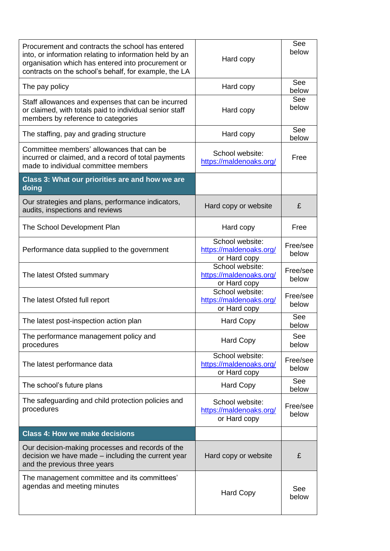| Procurement and contracts the school has entered<br>into, or information relating to information held by an<br>organisation which has entered into procurement or<br>contracts on the school's behalf, for example, the LA | Hard copy                                                  | See<br>below      |
|----------------------------------------------------------------------------------------------------------------------------------------------------------------------------------------------------------------------------|------------------------------------------------------------|-------------------|
| The pay policy                                                                                                                                                                                                             | Hard copy                                                  | See<br>below      |
| Staff allowances and expenses that can be incurred<br>or claimed, with totals paid to individual senior staff<br>members by reference to categories                                                                        | Hard copy                                                  | See<br>below      |
| The staffing, pay and grading structure                                                                                                                                                                                    | Hard copy                                                  | See<br>below      |
| Committee members' allowances that can be<br>incurred or claimed, and a record of total payments<br>made to individual committee members                                                                                   | School website:<br>https://maldenoaks.org/                 | Free              |
| Class 3: What our priorities are and how we are<br>doing                                                                                                                                                                   |                                                            |                   |
| Our strategies and plans, performance indicators,<br>audits, inspections and reviews                                                                                                                                       | Hard copy or website                                       | £                 |
| The School Development Plan                                                                                                                                                                                                | Hard copy                                                  | Free              |
| Performance data supplied to the government                                                                                                                                                                                | School website:<br>https://maldenoaks.org/<br>or Hard copy | Free/see<br>below |
| The latest Ofsted summary                                                                                                                                                                                                  | School website:<br>https://maldenoaks.org/<br>or Hard copy | Free/see<br>below |
| The latest Ofsted full report                                                                                                                                                                                              | School website:<br>https://maldenoaks.org/<br>or Hard copy | Free/see<br>below |
| The latest post-inspection action plan                                                                                                                                                                                     | <b>Hard Copy</b>                                           | See<br>below      |
| The performance management policy and<br>procedures                                                                                                                                                                        | <b>Hard Copy</b>                                           | See<br>below      |
| The latest performance data                                                                                                                                                                                                | School website:<br>https://maldenoaks.org/<br>or Hard copy | Free/see<br>below |
| The school's future plans                                                                                                                                                                                                  | <b>Hard Copy</b>                                           | See<br>below      |
| The safeguarding and child protection policies and<br>procedures                                                                                                                                                           | School website:<br>https://maldenoaks.org/<br>or Hard copy | Free/see<br>below |
| <b>Class 4: How we make decisions</b>                                                                                                                                                                                      |                                                            |                   |
| Our decision-making processes and records of the<br>decision we have made – including the current year<br>and the previous three years                                                                                     | Hard copy or website                                       | £                 |
| The management committee and its committees'<br>agendas and meeting minutes                                                                                                                                                | <b>Hard Copy</b>                                           | See<br>below      |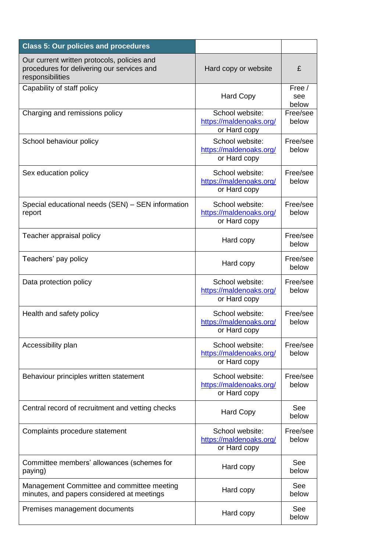| <b>Class 5: Our policies and procedures</b>                                                                   |                                                            |                        |
|---------------------------------------------------------------------------------------------------------------|------------------------------------------------------------|------------------------|
| Our current written protocols, policies and<br>procedures for delivering our services and<br>responsibilities | Hard copy or website                                       | £                      |
| Capability of staff policy                                                                                    | <b>Hard Copy</b>                                           | Free /<br>see<br>below |
| Charging and remissions policy                                                                                | School website:<br>https://maldenoaks.org/<br>or Hard copy | Free/see<br>below      |
| School behaviour policy                                                                                       | School website:<br>https://maldenoaks.org/<br>or Hard copy | Free/see<br>below      |
| Sex education policy                                                                                          | School website:<br>https://maldenoaks.org/<br>or Hard copy | Free/see<br>below      |
| Special educational needs (SEN) - SEN information<br>report                                                   | School website:<br>https://maldenoaks.org/<br>or Hard copy | Free/see<br>below      |
| Teacher appraisal policy                                                                                      | Hard copy                                                  | Free/see<br>below      |
| Teachers' pay policy                                                                                          | Hard copy                                                  | Free/see<br>below      |
| Data protection policy                                                                                        | School website:<br>https://maldenoaks.org/<br>or Hard copy | Free/see<br>below      |
| Health and safety policy                                                                                      | School website:<br>https://maldenoaks.org/<br>or Hard copy | Free/see<br>below      |
| Accessibility plan                                                                                            | School website:<br>https://maldenoaks.org/<br>or Hard copy | Free/see<br>below      |
| Behaviour principles written statement                                                                        | School website:<br>https://maldenoaks.org/<br>or Hard copy | Free/see<br>below      |
| Central record of recruitment and vetting checks                                                              | <b>Hard Copy</b>                                           | See<br>below           |
| Complaints procedure statement                                                                                | School website:<br>https://maldenoaks.org/<br>or Hard copy | Free/see<br>below      |
| Committee members' allowances (schemes for<br>paying)                                                         | Hard copy                                                  | See<br>below           |
| Management Committee and committee meeting<br>minutes, and papers considered at meetings                      | Hard copy                                                  | See<br>below           |
| Premises management documents                                                                                 | Hard copy                                                  | See<br>below           |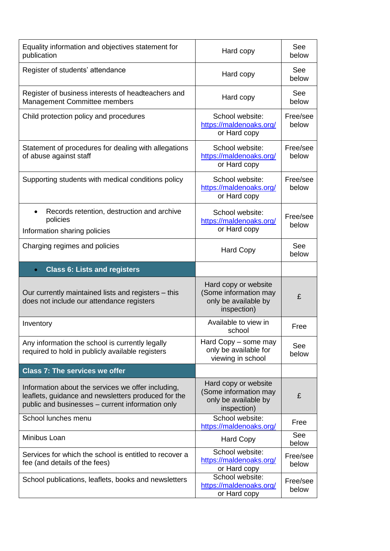| Equality information and objectives statement for<br>publication                                                                                              | Hard copy                                                                            | See<br>below      |
|---------------------------------------------------------------------------------------------------------------------------------------------------------------|--------------------------------------------------------------------------------------|-------------------|
| Register of students' attendance                                                                                                                              | Hard copy                                                                            | See<br>below      |
| Register of business interests of headteachers and<br>Management Committee members                                                                            | Hard copy                                                                            | See<br>below      |
| Child protection policy and procedures                                                                                                                        | School website:<br>https://maldenoaks.org/<br>or Hard copy                           | Free/see<br>below |
| Statement of procedures for dealing with allegations<br>of abuse against staff                                                                                | School website:<br>https://maldenoaks.org/<br>or Hard copy                           | Free/see<br>below |
| Supporting students with medical conditions policy                                                                                                            | School website:<br>https://maldenoaks.org/<br>or Hard copy                           | Free/see<br>below |
| Records retention, destruction and archive<br>policies<br>Information sharing policies                                                                        | School website:<br>https://maldenoaks.org/<br>or Hard copy                           | Free/see<br>below |
| Charging regimes and policies                                                                                                                                 | <b>Hard Copy</b>                                                                     | See<br>below      |
| <b>Class 6: Lists and registers</b><br>$\bullet$                                                                                                              |                                                                                      |                   |
|                                                                                                                                                               |                                                                                      |                   |
| Our currently maintained lists and registers – this<br>does not include our attendance registers                                                              | Hard copy or website<br>(Some information may<br>only be available by<br>inspection) | £                 |
| Inventory                                                                                                                                                     | Available to view in<br>school                                                       | Free              |
| Any information the school is currently legally<br>required to hold in publicly available registers                                                           | Hard Copy - some may<br>only be available for<br>viewing in school                   | See<br>below      |
| <b>Class 7: The services we offer</b>                                                                                                                         |                                                                                      |                   |
| Information about the services we offer including,<br>leaflets, guidance and newsletters produced for the<br>public and businesses - current information only | Hard copy or website<br>(Some information may<br>only be available by<br>inspection) | £                 |
| School lunches menu                                                                                                                                           | School website:<br>https://maldenoaks.org/                                           | Free              |
| Minibus Loan                                                                                                                                                  | <b>Hard Copy</b>                                                                     | See<br>below      |
| Services for which the school is entitled to recover a<br>fee (and details of the fees)                                                                       | School website:<br>https://maldenoaks.org/<br>or Hard copy                           | Free/see<br>below |